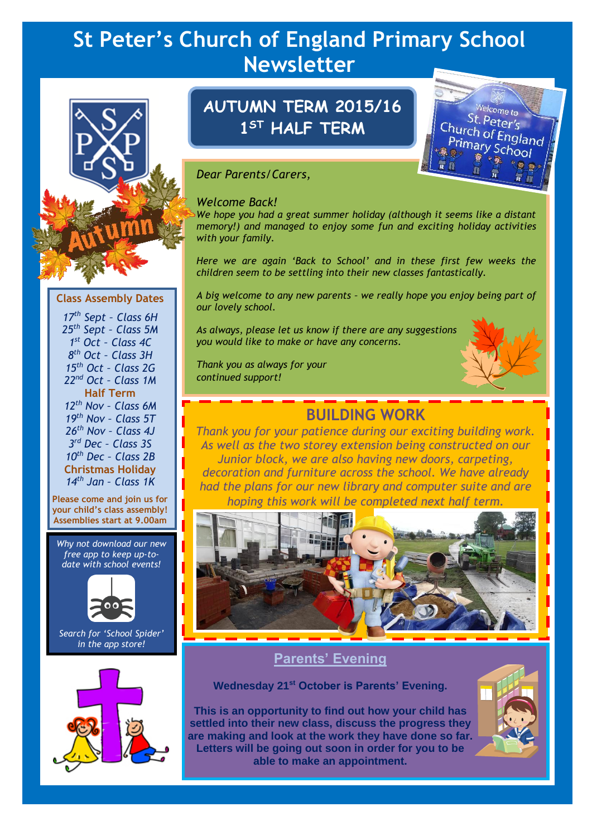# **St Peter's Church of England Primary School Newsletter**



# **AUTUMN TERM 2015/16 1 ST HALF TERM**



### *Dear Parents/Carers,*

#### *Welcome Back!*

*We hope you had a great summer holiday (although it seems like a distant memory!) and managed to enjoy some fun and exciting holiday activities with your family.*

*Here we are again 'Back to School' and in these first few weeks the children seem to be settling into their new classes fantastically.*

*A big welcome to any new parents – we really hope you enjoy being part of our lovely school.*

*As always, please let us know if there are any suggestions you would like to make or have any concerns.*

*Thank you as always for your continued support!*



# **BUILDING WORK**

*Thank you for your patience during our exciting building work. As well as the two storey extension being constructed on our Junior block, we are also having new doors, carpeting, decoration and furniture across the school. We have already had the plans for our new library and computer suite and are hoping this work will be completed next half term.*



**Parents' Evening**

**Wednesday 21st October is Parents' Evening.**

**This is an opportunity to find out how your child has settled into their new class, discuss the progress they are making and look at the work they have done so far. Letters will be going out soon in order for you to be able to make an appointment.**



#### *17th Sept – Class 6H 25th Sept – Class 5M 1 st Oct – Class 4C 8 th Oct – Class 3H 15th Oct – Class 2G 22nd Oct – Class 1M* **Half Term** *12th Nov – Class 6M 19th Nov – Class 5T 26th Nov – Class 4J 3 rd Dec – Class 3S 10th Dec – Class 2B* **Christmas Holiday** *14th Jan – Class 1K*

**Class Assembly Dates**

**Please come and join us for your child's class assembly! Assemblies start at 9.00am**

*Why not download our new free app to keep up-todate with school events!*



*Search for 'School Spider' in the app store!*

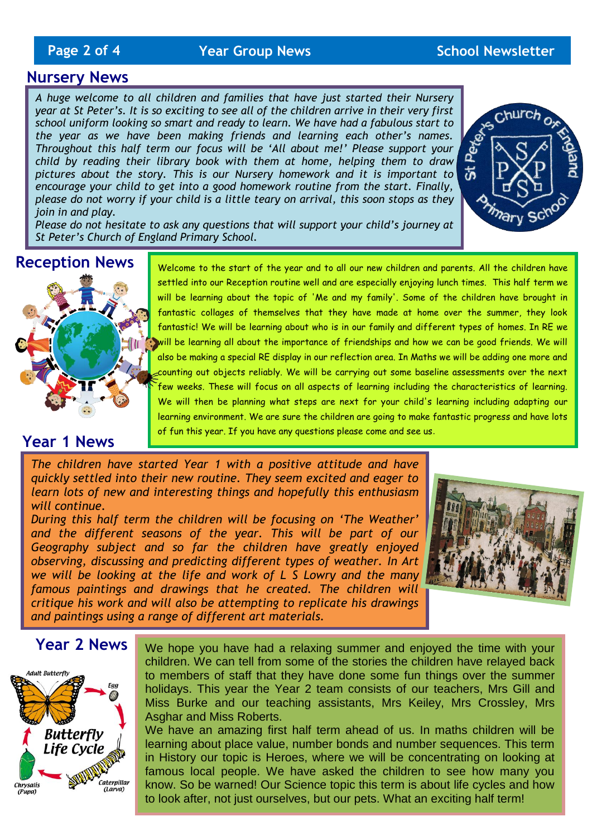# **Page 2 of 4** *Year Group News* **School Newsletter**

# **Nursery News**

*A huge welcome to all children and families that have just started their Nursery year at St Peter's. It is so exciting to see all of the children arrive in their very first school uniform looking so smart and ready to learn. We have had a fabulous start to the year as we have been making friends and learning each other's names. Throughout this half term our focus will be 'All about me!' Please support your child by reading their library book with them at home, helping them to draw pictures about the story. This is our Nursery homework and it is important to encourage your child to get into a good homework routine from the start. Finally, please do not worry if your child is a little teary on arrival, this soon stops as they join in and play.*



*Please do not hesitate to ask any questions that will support your child's journey at St Peter's Church of England Primary School.*

### **Reception News**



Welcome to the start of the year and to all our new children and parents. All the children have settled into our Reception routine well and are especially enjoying lunch times. This half term we will be learning about the topic of 'Me and my family'. Some of the children have brought in fantastic collages of themselves that they have made at home over the summer, they look fantastic! We will be learning about who is in our family and different types of homes. In RE we will be learning all about the importance of friendships and how we can be good friends. We will also be making a special RE display in our reflection area. In Maths we will be adding one more and counting out objects reliably. We will be carrying out some baseline assessments over the next few weeks. These will focus on all aspects of learning including the characteristics of learning. We will then be planning what steps are next for your child's learning including adapting our learning environment. We are sure the children are going to make fantastic progress and have lots of fun this year. If you have any questions please come and see us.

# **Year 1 News**

*The children have started Year 1 with a positive attitude and have quickly settled into their new routine. They seem excited and eager to learn lots of new and interesting things and hopefully this enthusiasm will continue.*

*During this half term the children will be focusing on 'The Weather'* and the different seasons of the year. This will be part of our *Geography subject and so far the children have greatly enjoyed observing, discussing and predicting different types of weather. In Art we will be looking at the life and work of L S Lowry and the many famous paintings and drawings that he created. The children will critique his work and will also be attempting to replicate his drawings and paintings using a range of different art materials.* 



#### **Year 2 News**



We hope you have had a relaxing summer and enjoyed the time with your children. We can tell from some of the stories the children have relayed back to members of staff that they have done some fun things over the summer holidays. This year the Year 2 team consists of our teachers, Mrs Gill and Miss Burke and our teaching assistants, Mrs Keiley, Mrs Crossley, Mrs Asghar and Miss Roberts.

We have an amazing first half term ahead of us. In maths children will be learning about place value, number bonds and number sequences. This term in History our topic is Heroes, where we will be concentrating on looking at famous local people. We have asked the children to see how many you know. So be warned! Our Science topic this term is about life cycles and how to look after, not just ourselves, but our pets. What an exciting half term!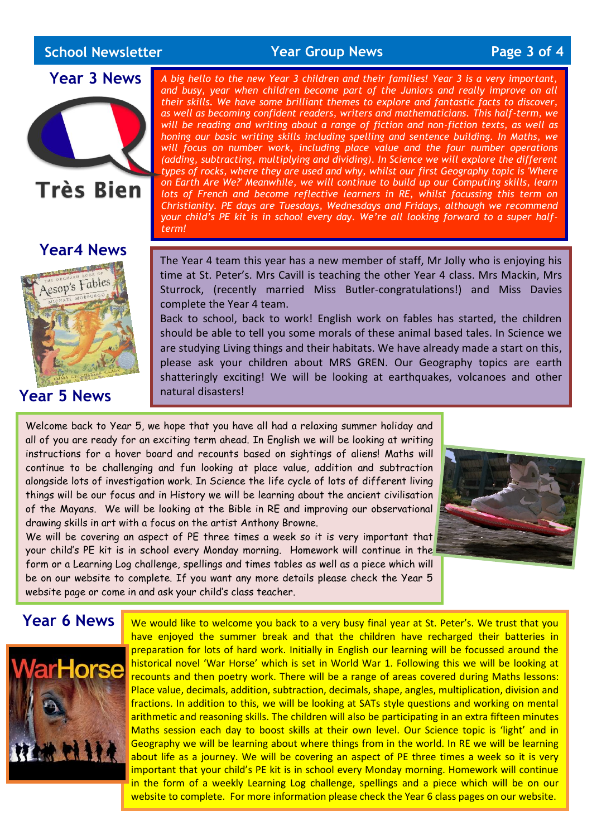# **School Newsletter**

**School Newsletter Year Group News Page 3 of 4**

# **Year 3 News**



### **Year4 News**



# **Year 5 News**

*A big hello to the new Year 3 children and their families! Year 3 is a very important, and busy, year when children become part of the Juniors and really improve on all their skills. We have some brilliant themes to explore and fantastic facts to discover, as well as becoming confident readers, writers and mathematicians. This half-term, we will be reading and writing about a range of fiction and non-fiction texts, as well as honing our basic writing skills including spelling and sentence building. In Maths, we*  will focus on number work, including place value and the four number operations *(adding, subtracting, multiplying and dividing). In Science we will explore the different types of rocks, where they are used and why, whilst our first Geography topic is 'Where on Earth Are We?' Meanwhile, we will continue to build up our Computing skills, learn lots of French and become reflective learners in RE, whilst focussing this term on Christianity. PE days are Tuesdays, Wednesdays and Fridays, although we recommend your child's PE kit is in school every day. We're all looking forward to a super halfterm!*

The Year 4 team this year has a new member of staff, Mr Jolly who is enjoying his time at St. Peter's. Mrs Cavill is teaching the other Year 4 class. Mrs Mackin, Mrs Sturrock, (recently married Miss Butler-congratulations!) and Miss Davies complete the Year 4 team.

Back to school, back to work! English work on fables has started, the children should be able to tell you some morals of these animal based tales. In Science we are studying Living things and their habitats. We have already made a start on this, please ask your children about MRS GREN. Our Geography topics are earth shatteringly exciting! We will be looking at earthquakes, volcanoes and other natural disasters!

Welcome back to Year 5, we hope that you have all had a relaxing summer holiday and all of you are ready for an exciting term ahead. In English we will be looking at writing instructions for a hover board and recounts based on sightings of aliens! Maths will continue to be challenging and fun looking at place value, addition and subtraction alongside lots of investigation work. In Science the life cycle of lots of different living things will be our focus and in History we will be learning about the ancient civilisation of the Mayans. We will be looking at the Bible in RE and improving our observational drawing skills in art with a focus on the artist Anthony Browne.

We will be covering an aspect of PE three times a week so it is very important that your child's PE kit is in school every Monday morning. Homework will continue in the form or a Learning Log challenge, spellings and times tables as well as a piece which will be on our website to complete. If you want any more details please check the Year 5 website page or come in and ask your child's class teacher.



# **Year 6 News**



We would like to welcome you back to a very busy final year at St. Peter's. We trust that you have enjoyed the summer break and that the children have recharged their batteries in preparation for lots of hard work. Initially in English our learning will be focussed around the historical novel 'War Horse' which is set in World War 1. Following this we will be looking at recounts and then poetry work. There will be a range of areas covered during Maths lessons: Place value, decimals, addition, subtraction, decimals, shape, angles, multiplication, division and fractions. In addition to this, we will be looking at SATs style questions and working on mental arithmetic and reasoning skills. The children will also be participating in an extra fifteen minutes Maths session each day to boost skills at their own level. Our Science topic is 'light' and in Geography we will be learning about where things from in the world. In RE we will be learning about life as a journey. We will be covering an aspect of PE three times a week so it is very important that your child's PE kit is in school every Monday morning. Homework will continue in the form of a weekly Learning Log challenge, spellings and a piece which will be on our website to complete. For more information please check the Year 6 class pages on our website.